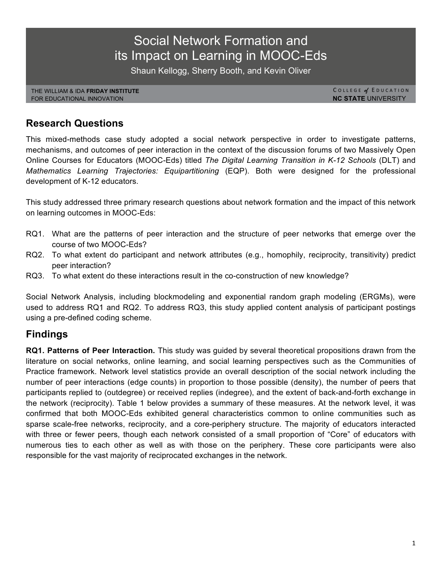# Social Network Formation and its Impact on Learning in MOOC-Eds

Shaun Kellogg, Sherry Booth, and Kevin Oliver

THE WILLIAM & IDA **FRIDAY INSTITUTE** FOR EDUCATIONAL INNOVATION

COLLEGE of EDUCATION **NC STATE** UNIVERSITY

# **Research Questions**

This mixed-methods case study adopted a social network perspective in order to investigate patterns, mechanisms, and outcomes of peer interaction in the context of the discussion forums of two Massively Open Online Courses for Educators (MOOC-Eds) titled *The Digital Learning Transition in K-12 Schools* (DLT) and *Mathematics Learning Trajectories: Equipartitioning* (EQP). Both were designed for the professional development of K-12 educators.

This study addressed three primary research questions about network formation and the impact of this network on learning outcomes in MOOC-Eds:

- RQ1. What are the patterns of peer interaction and the structure of peer networks that emerge over the course of two MOOC-Eds?
- RQ2. To what extent do participant and network attributes (e.g., homophily, reciprocity, transitivity) predict peer interaction?
- RQ3. To what extent do these interactions result in the co-construction of new knowledge?

Social Network Analysis, including blockmodeling and exponential random graph modeling (ERGMs), were used to address RQ1 and RQ2. To address RQ3, this study applied content analysis of participant postings using a pre-defined coding scheme.

# **Findings**

**RQ1. Patterns of Peer Interaction.** This study was guided by several theoretical propositions drawn from the literature on social networks, online learning, and social learning perspectives such as the Communities of Practice framework. Network level statistics provide an overall description of the social network including the number of peer interactions (edge counts) in proportion to those possible (density), the number of peers that participants replied to (outdegree) or received replies (indegree), and the extent of back-and-forth exchange in the network (reciprocity). Table 1 below provides a summary of these measures. At the network level, it was confirmed that both MOOC-Eds exhibited general characteristics common to online communities such as sparse scale-free networks, reciprocity, and a core-periphery structure. The majority of educators interacted with three or fewer peers, though each network consisted of a small proportion of "Core" of educators with numerous ties to each other as well as with those on the periphery. These core participants were also responsible for the vast majority of reciprocated exchanges in the network.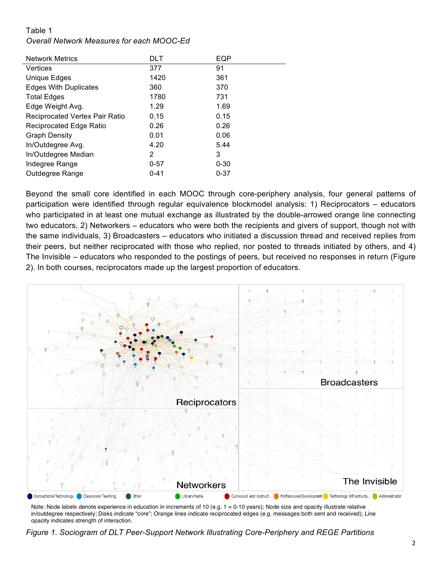#### Table 1

#### *Overall Network Measures for each MOOC-Ed*

| <b>Network Metrics</b>         | DLT      | EQP      |
|--------------------------------|----------|----------|
| <b>Vertices</b>                | 377      | 91       |
| Unique Edges                   | 1420     | 361      |
| <b>Edges With Duplicates</b>   | 360      | 370      |
| <b>Total Edges</b>             | 1780     | 731      |
| Edge Weight Avg.               | 1.29     | 1.69     |
| Reciprocated Vertex Pair Ratio | 0.15     | 0.15     |
| <b>Reciprocated Edge Ratio</b> | 0.26     | 0.26     |
| <b>Graph Density</b>           | 0.01     | 0.06     |
| In/Outdegree Avg.              | 4.20     | 5.44     |
| In/Outdegree Median            | 2        | 3        |
| Indegree Range                 | $0 - 57$ | $0 - 30$ |
| Outdegree Range                | $0 - 41$ | $0 - 37$ |

Beyond the small core identified in each MOOC through core-periphery analysis, four general patterns of participation were identified through regular equivalence blockmodel analysis: 1) Reciprocators – educators who participated in at least one mutual exchange as illustrated by the double-arrowed orange line connecting two educators, 2) Networkers – educators who were both the recipients and givers of support, though not with the same individuals, 3) Broadcasters – educators who initiated a discussion thread and received replies from their peers, but neither reciprocated with those who replied, nor posted to threads initiated by others, and 4) The Invisible – educators who responded to the postings of peers, but received no responses in return (Figure 2). In both courses, reciprocators made up the largest proportion of educators.



Note: Node labels denote experience in education in increments of 10 (e.g. 1 = 0-10 years); Node size and opacity illustrate relative in/outdegree respectively; Disks indicate "core"; Orange lines indicate reciprocated edges (e.g. messages both sent and received); Line opacity indicates strength of interaction.

*Figure 1. Sociogram of DLT Peer-Support Network Illustrating Core-Periphery and REGE Partitions*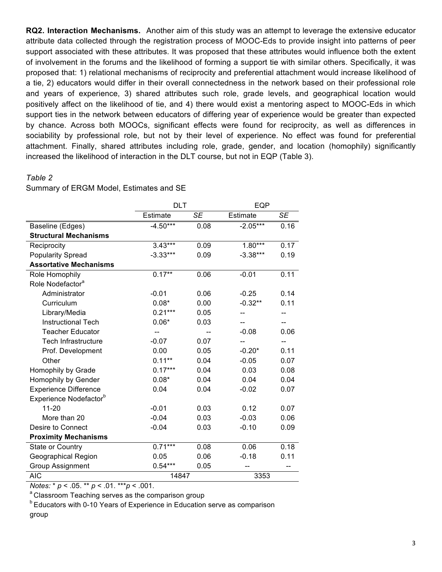**RQ2. Interaction Mechanisms.** Another aim of this study was an attempt to leverage the extensive educator attribute data collected through the registration process of MOOC-Eds to provide insight into patterns of peer support associated with these attributes. It was proposed that these attributes would influence both the extent of involvement in the forums and the likelihood of forming a support tie with similar others. Specifically, it was proposed that: 1) relational mechanisms of reciprocity and preferential attachment would increase likelihood of a tie, 2) educators would differ in their overall connectedness in the network based on their professional role and years of experience, 3) shared attributes such role, grade levels, and geographical location would positively affect on the likelihood of tie, and 4) there would exist a mentoring aspect to MOOC-Eds in which support ties in the network between educators of differing year of experience would be greater than expected by chance. Across both MOOCs, significant effects were found for reciprocity, as well as differences in sociability by professional role, but not by their level of experience. No effect was found for preferential attachment. Finally, shared attributes including role, grade, gender, and location (homophily) significantly increased the likelihood of interaction in the DLT course, but not in EQP (Table 3).

#### *Table 2*

Summary of ERGM Model, Estimates and SE

|                                    | <b>DLT</b> |           | EQP        |           |
|------------------------------------|------------|-----------|------------|-----------|
|                                    | Estimate   | <b>SE</b> | Estimate   | <b>SE</b> |
| Baseline (Edges)                   | $-4.50***$ | 0.08      | $-2.05***$ | 0.16      |
| <b>Structural Mechanisms</b>       |            |           |            |           |
| Reciprocity                        | $3.43***$  | 0.09      | $1.80***$  | 0.17      |
| <b>Popularity Spread</b>           | $-3.33***$ | 0.09      | $-3.38***$ | 0.19      |
| <b>Assortative Mechanisms</b>      |            |           |            |           |
| Role Homophily                     | $0.17**$   | 0.06      | $-0.01$    | 0.11      |
| Role Nodefactor <sup>a</sup>       |            |           |            |           |
| Administrator                      | $-0.01$    | 0.06      | $-0.25$    | 0.14      |
| Curriculum                         | $0.08*$    | 0.00      | $-0.32**$  | 0.11      |
| Library/Media                      | $0.21***$  | 0.05      |            |           |
| <b>Instructional Tech</b>          | $0.06*$    | 0.03      |            | --        |
| <b>Teacher Educator</b>            |            |           | $-0.08$    | 0.06      |
| <b>Tech Infrastructure</b>         | $-0.07$    | 0.07      |            | $-$       |
| Prof. Development                  | 0.00       | 0.05      | $-0.20*$   | 0.11      |
| Other                              | $0.11**$   | 0.04      | $-0.05$    | 0.07      |
| Homophily by Grade                 | $0.17***$  | 0.04      | 0.03       | 0.08      |
| Homophily by Gender                | $0.08*$    | 0.04      | 0.04       | 0.04      |
| <b>Experience Difference</b>       | 0.04       | 0.04      | $-0.02$    | 0.07      |
| Experience Nodefactor <sup>b</sup> |            |           |            |           |
| $11 - 20$                          | $-0.01$    | 0.03      | 0.12       | 0.07      |
| More than 20                       | $-0.04$    | 0.03      | $-0.03$    | 0.06      |
| Desire to Connect                  | $-0.04$    | 0.03      | $-0.10$    | 0.09      |
| <b>Proximity Mechanisms</b>        |            |           |            |           |
| State or Country                   | $0.71***$  | 0.08      | 0.06       | 0.18      |
| <b>Geographical Region</b>         | 0.05       | 0.06      | $-0.18$    | 0.11      |
| <b>Group Assignment</b>            | $0.54***$  | 0.05      | --         |           |
| <b>AIC</b>                         | 14847      |           | 3353       |           |

*Notes:* \* *p* < .05. \*\* *p* < .01. \*\*\**p* < .001.

<sup>a</sup> Classroom Teaching serves as the comparison group

**b Educators with 0-10 Years of Experience in Education serve as comparison** group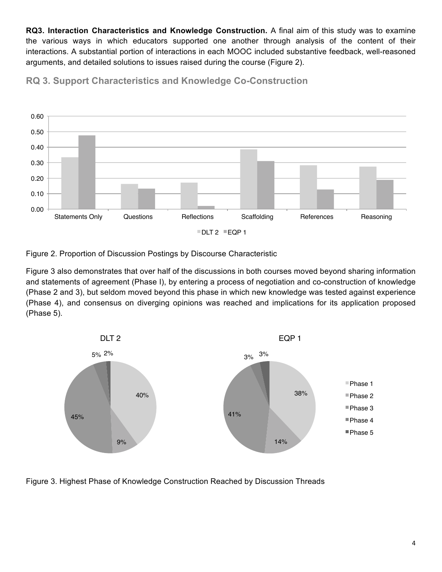**RQ3. Interaction Characteristics and Knowledge Construction.** A final aim of this study was to examine the various ways in which educators supported one another through analysis of the content of their interactions. A substantial portion of interactions in each MOOC included substantive feedback, well-reasoned arguments, and detailed solutions to issues raised during the course (Figure 2).







Statements Only Guestions Reflections Scaffolding References Reasoning

Figure 2. Proportion of Discussion Postings by Discourse Characteristic

0.00

Figure 3 also demonstrates that over half of the discussions in both courses moved beyond sharing information and statements of agreement (Phase I), by entering a process of negotiation and co-construction of knowledge (Phase 2 and 3), but seldom moved beyond this phase in which new knowledge was tested against experience (Phase 4), and consensus on diverging opinions was reached and implications for its application proposed (Phase 5).



Figure 3. Highest Phase of Knowledge Construction Reached by Discussion Threads